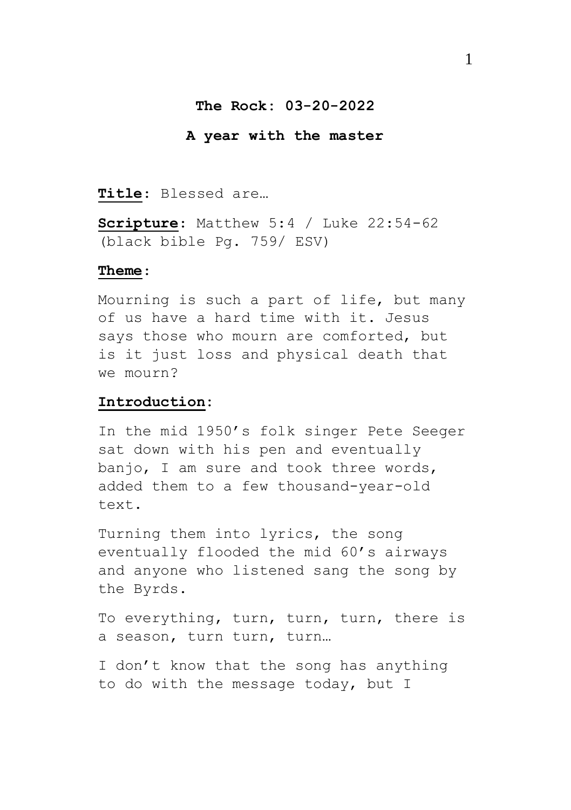## **The Rock: 03-20-2022**

#### **A year with the master**

#### **Title**: Blessed are…

**Scripture**: Matthew 5:4 / Luke 22:54-62 (black bible Pg. 759/ ESV)

#### **Theme**:

Mourning is such a part of life, but many of us have a hard time with it. Jesus says those who mourn are comforted, but is it just loss and physical death that we mourn?

#### **Introduction:**

In the mid 1950's folk singer Pete Seeger sat down with his pen and eventually banjo, I am sure and took three words, added them to a few thousand-year-old text.

Turning them into lyrics, the song eventually flooded the mid 60's airways and anyone who listened sang the song by the Byrds.

To everything, turn, turn, turn, there is a season, turn turn, turn…

I don't know that the song has anything to do with the message today, but I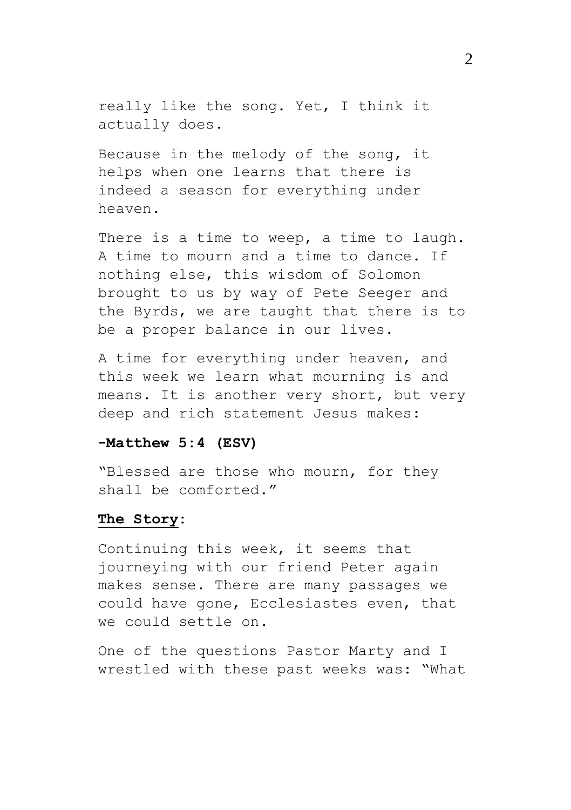really like the song. Yet, I think it actually does.

Because in the melody of the song, it helps when one learns that there is indeed a season for everything under heaven.

There is a time to weep, a time to laugh. A time to mourn and a time to dance. If nothing else, this wisdom of Solomon brought to us by way of Pete Seeger and the Byrds, we are taught that there is to be a proper balance in our lives.

A time for everything under heaven, and this week we learn what mourning is and means. It is another very short, but very deep and rich statement Jesus makes:

## **-Matthew 5:4 (ESV)**

"Blessed are those who mourn, for they shall be comforted."

## **The Story:**

Continuing this week, it seems that journeying with our friend Peter again makes sense. There are many passages we could have gone, Ecclesiastes even, that we could settle on.

One of the questions Pastor Marty and I wrestled with these past weeks was: "What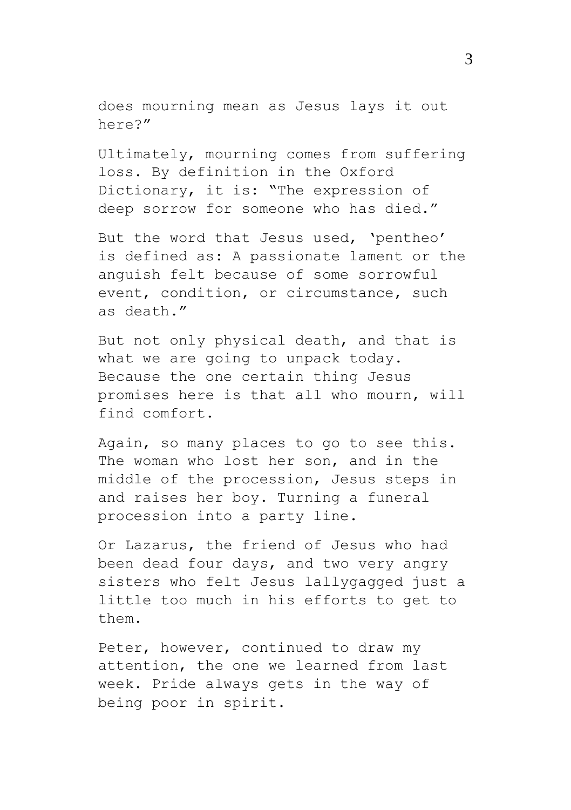does mourning mean as Jesus lays it out here?"

Ultimately, mourning comes from suffering loss. By definition in the Oxford Dictionary, it is: "The expression of deep sorrow for someone who has died."

But the word that Jesus used, 'pentheo' is defined as: A passionate lament or the anguish felt because of some sorrowful event, condition, or circumstance, such as death."

But not only physical death, and that is what we are going to unpack today. Because the one certain thing Jesus promises here is that all who mourn, will find comfort.

Again, so many places to go to see this. The woman who lost her son, and in the middle of the procession, Jesus steps in and raises her boy. Turning a funeral procession into a party line.

Or Lazarus, the friend of Jesus who had been dead four days, and two very angry sisters who felt Jesus lallygagged just a little too much in his efforts to get to them.

Peter, however, continued to draw my attention, the one we learned from last week. Pride always gets in the way of being poor in spirit.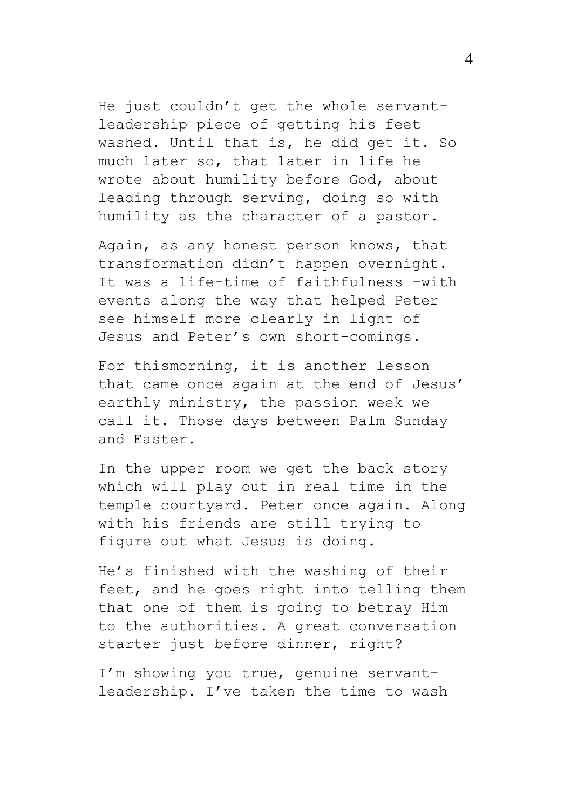He just couldn't get the whole servantleadership piece of getting his feet washed. Until that is, he did get it. So much later so, that later in life he wrote about humility before God, about leading through serving, doing so with humility as the character of a pastor.

Again, as any honest person knows, that transformation didn't happen overnight. It was a life-time of faithfulness -with events along the way that helped Peter see himself more clearly in light of Jesus and Peter's own short-comings.

For thismorning, it is another lesson that came once again at the end of Jesus' earthly ministry, the passion week we call it. Those days between Palm Sunday and Easter.

In the upper room we get the back story which will play out in real time in the temple courtyard. Peter once again. Along with his friends are still trying to figure out what Jesus is doing.

He's finished with the washing of their feet, and he goes right into telling them that one of them is going to betray Him to the authorities. A great conversation starter just before dinner, right?

I'm showing you true, genuine servantleadership. I've taken the time to wash 4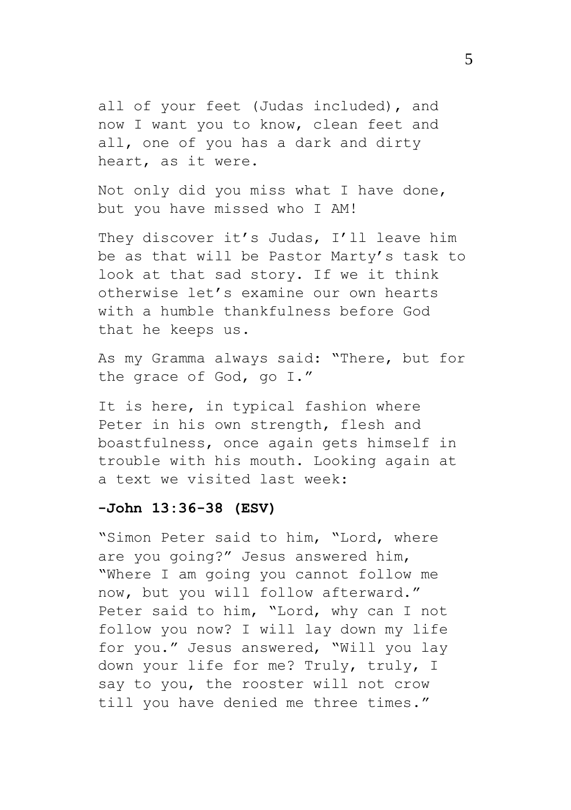all of your feet (Judas included), and now I want you to know, clean feet and all, one of you has a dark and dirty heart, as it were.

Not only did you miss what I have done, but you have missed who I AM!

They discover it's Judas, I'll leave him be as that will be Pastor Marty's task to look at that sad story. If we it think otherwise let's examine our own hearts with a humble thankfulness before God that he keeps us.

As my Gramma always said: "There, but for the grace of God, go I."

It is here, in typical fashion where Peter in his own strength, flesh and boastfulness, once again gets himself in trouble with his mouth. Looking again at a text we visited last week:

### **-John 13:36-38 (ESV)**

"Simon Peter said to him, "Lord, where are you going?" Jesus answered him, "Where I am going you cannot follow me now, but you will follow afterward." Peter said to him, "Lord, why can I not follow you now? I will lay down my life for you." Jesus answered, "Will you lay down your life for me? Truly, truly, I say to you, the rooster will not crow till you have denied me three times."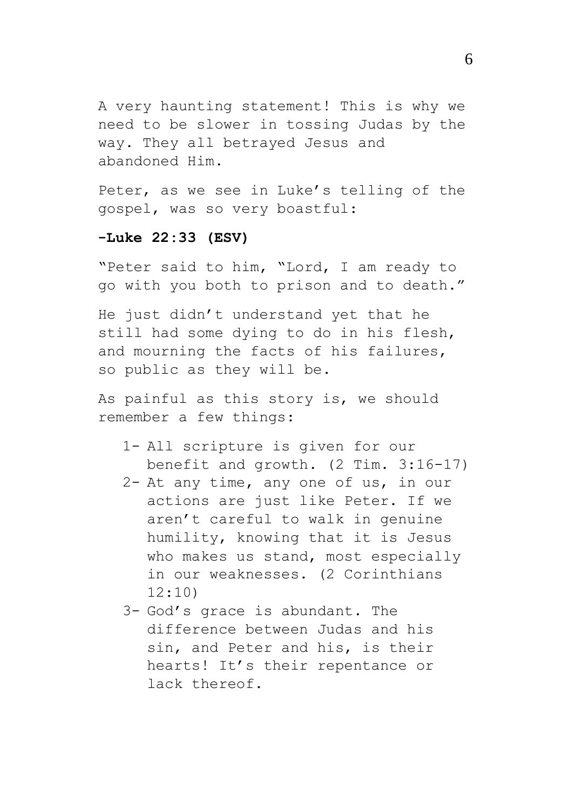A very haunting statement! This is why we need to be slower in tossing Judas by the way. They all betrayed Jesus and abandoned Him.

Peter, as we see in Luke's telling of the gospel, was so very boastful:

# **-Luke 22:33 (ESV)**

"Peter said to him, "Lord, I am ready to go with you both to prison and to death."

He just didn't understand yet that he still had some dying to do in his flesh, and mourning the facts of his failures, so public as they will be.

As painful as this story is, we should remember a few things:

- 1- All scripture is given for our benefit and growth. (2 Tim. 3:16-17)
- 2- At any time, any one of us, in our actions are just like Peter. If we aren't careful to walk in genuine humility, knowing that it is Jesus who makes us stand, most especially in our weaknesses. (2 Corinthians  $12:10$
- 3- God's grace is abundant. The difference between Judas and his sin, and Peter and his, is their hearts! It's their repentance or lack thereof.

6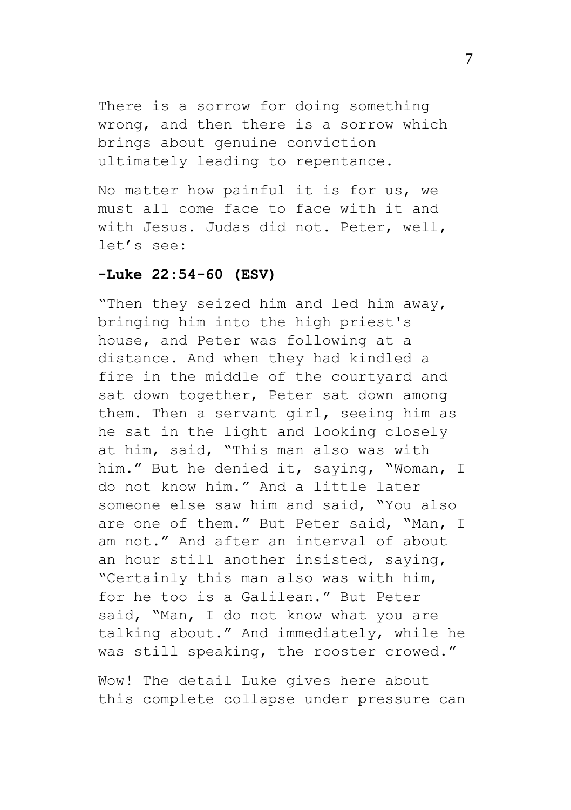There is a sorrow for doing something wrong, and then there is a sorrow which brings about genuine conviction ultimately leading to repentance.

No matter how painful it is for us, we must all come face to face with it and with Jesus. Judas did not. Peter, well, let's see:

## **-Luke 22:54-60 (ESV)**

"Then they seized him and led him away, bringing him into the high priest's house, and Peter was following at a distance. And when they had kindled a fire in the middle of the courtyard and sat down together, Peter sat down among them. Then a servant girl, seeing him as he sat in the light and looking closely at him, said, "This man also was with him." But he denied it, saying, "Woman, I do not know him." And a little later someone else saw him and said, "You also are one of them." But Peter said, "Man, I am not." And after an interval of about an hour still another insisted, saying, "Certainly this man also was with him, for he too is a Galilean." But Peter said, "Man, I do not know what you are talking about." And immediately, while he was still speaking, the rooster crowed."

Wow! The detail Luke gives here about this complete collapse under pressure can

7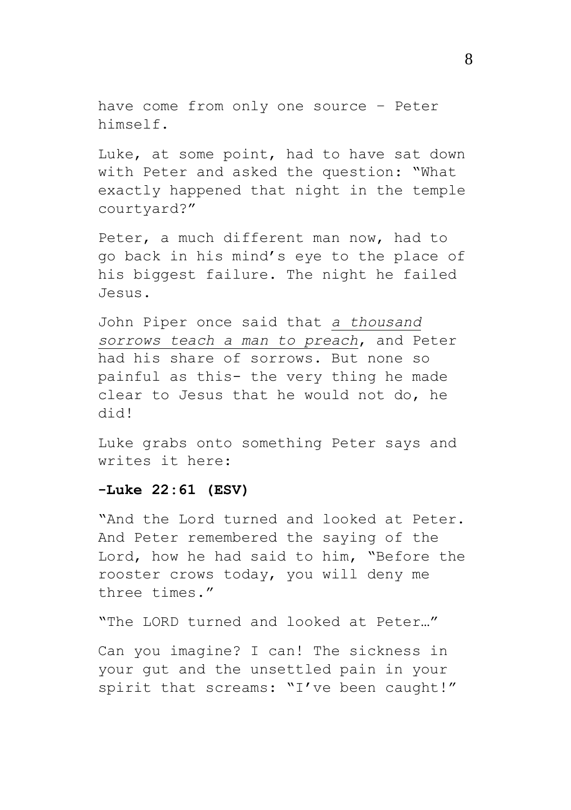have come from only one source – Peter himself.

Luke, at some point, had to have sat down with Peter and asked the question: "What exactly happened that night in the temple courtyard?"

Peter, a much different man now, had to go back in his mind's eye to the place of his biggest failure. The night he failed Jesus.

John Piper once said that *a thousand sorrows teach a man to preach*, and Peter had his share of sorrows. But none so painful as this- the very thing he made clear to Jesus that he would not do, he did!

Luke grabs onto something Peter says and writes it here:

## **-Luke 22:61 (ESV)**

"And the Lord turned and looked at Peter. And Peter remembered the saying of the Lord, how he had said to him, "Before the rooster crows today, you will deny me three times."

"The LORD turned and looked at Peter…"

Can you imagine? I can! The sickness in your gut and the unsettled pain in your spirit that screams: "I've been caught!"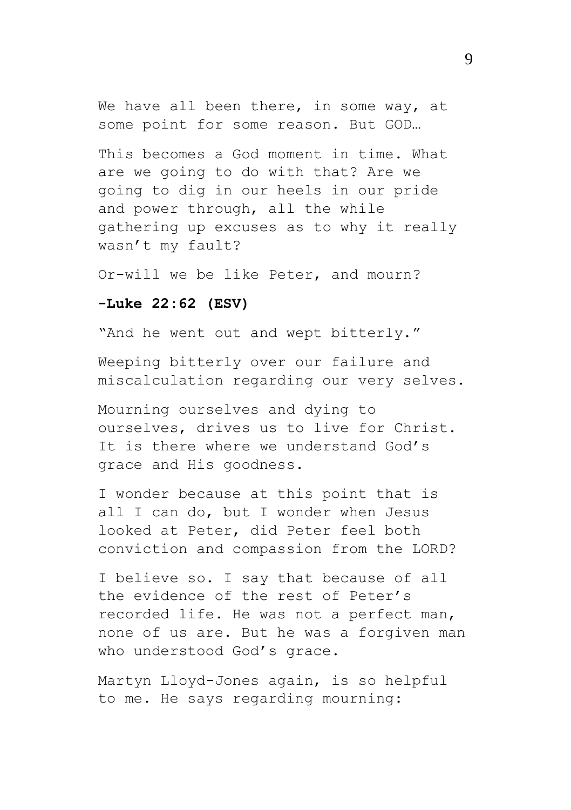We have all been there, in some way, at some point for some reason. But GOD…

This becomes a God moment in time. What are we going to do with that? Are we going to dig in our heels in our pride and power through, all the while gathering up excuses as to why it really wasn't my fault?

Or-will we be like Peter, and mourn?

### **-Luke 22:62 (ESV)**

"And he went out and wept bitterly."

Weeping bitterly over our failure and miscalculation regarding our very selves.

Mourning ourselves and dying to ourselves, drives us to live for Christ. It is there where we understand God's grace and His goodness.

I wonder because at this point that is all I can do, but I wonder when Jesus looked at Peter, did Peter feel both conviction and compassion from the LORD?

I believe so. I say that because of all the evidence of the rest of Peter's recorded life. He was not a perfect man, none of us are. But he was a forgiven man who understood God's grace.

Martyn Lloyd-Jones again, is so helpful to me. He says regarding mourning: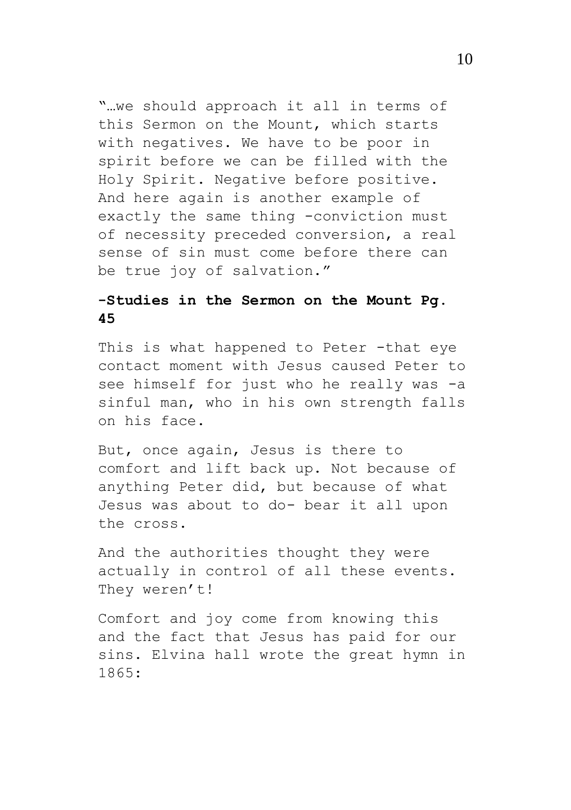"…we should approach it all in terms of this Sermon on the Mount, which starts with negatives. We have to be poor in spirit before we can be filled with the Holy Spirit. Negative before positive. And here again is another example of exactly the same thing -conviction must of necessity preceded conversion, a real sense of sin must come before there can be true joy of salvation."

# **-Studies in the Sermon on the Mount Pg. 45**

This is what happened to Peter -that eye contact moment with Jesus caused Peter to see himself for just who he really was -a sinful man, who in his own strength falls on his face.

But, once again, Jesus is there to comfort and lift back up. Not because of anything Peter did, but because of what Jesus was about to do- bear it all upon the cross.

And the authorities thought they were actually in control of all these events. They weren't!

Comfort and joy come from knowing this and the fact that Jesus has paid for our sins. Elvina hall wrote the great hymn in 1865: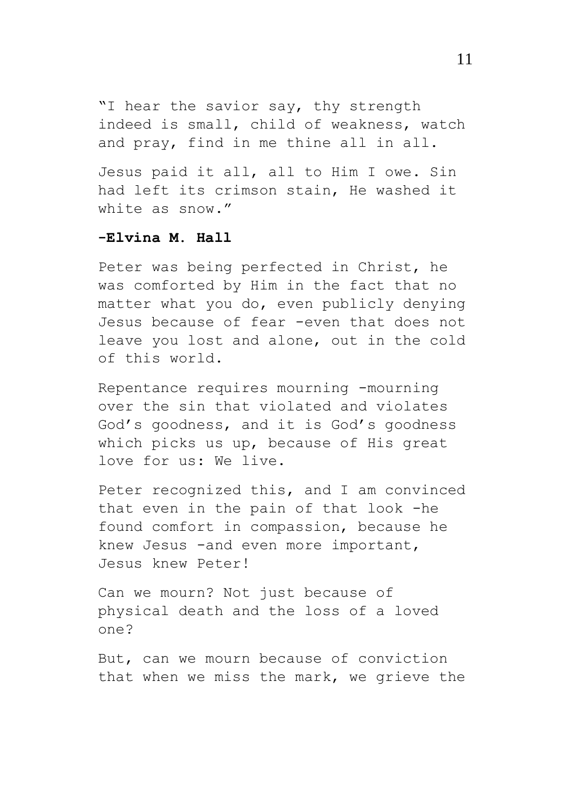"I hear the savior say, thy strength indeed is small, child of weakness, watch and pray, find in me thine all in all.

Jesus paid it all, all to Him I owe. Sin had left its crimson stain, He washed it white as snow."

## **-Elvina M. Hall**

Peter was being perfected in Christ, he was comforted by Him in the fact that no matter what you do, even publicly denying Jesus because of fear -even that does not leave you lost and alone, out in the cold of this world.

Repentance requires mourning -mourning over the sin that violated and violates God's goodness, and it is God's goodness which picks us up, because of His great love for us: We live.

Peter recognized this, and I am convinced that even in the pain of that look -he found comfort in compassion, because he knew Jesus -and even more important, Jesus knew Peter!

Can we mourn? Not just because of physical death and the loss of a loved one?

But, can we mourn because of conviction that when we miss the mark, we grieve the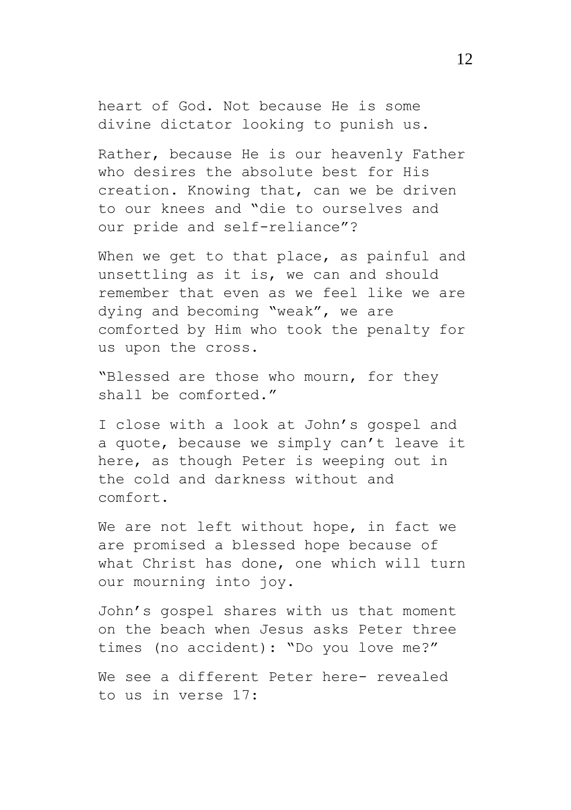heart of God. Not because He is some divine dictator looking to punish us.

Rather, because He is our heavenly Father who desires the absolute best for His creation. Knowing that, can we be driven to our knees and "die to ourselves and our pride and self-reliance"?

When we get to that place, as painful and unsettling as it is, we can and should remember that even as we feel like we are dying and becoming "weak", we are comforted by Him who took the penalty for us upon the cross.

"Blessed are those who mourn, for they shall be comforted."

I close with a look at John's gospel and a quote, because we simply can't leave it here, as though Peter is weeping out in the cold and darkness without and comfort.

We are not left without hope, in fact we are promised a blessed hope because of what Christ has done, one which will turn our mourning into joy.

John's gospel shares with us that moment on the beach when Jesus asks Peter three times (no accident): "Do you love me?"

We see a different Peter here- revealed to us in verse 17: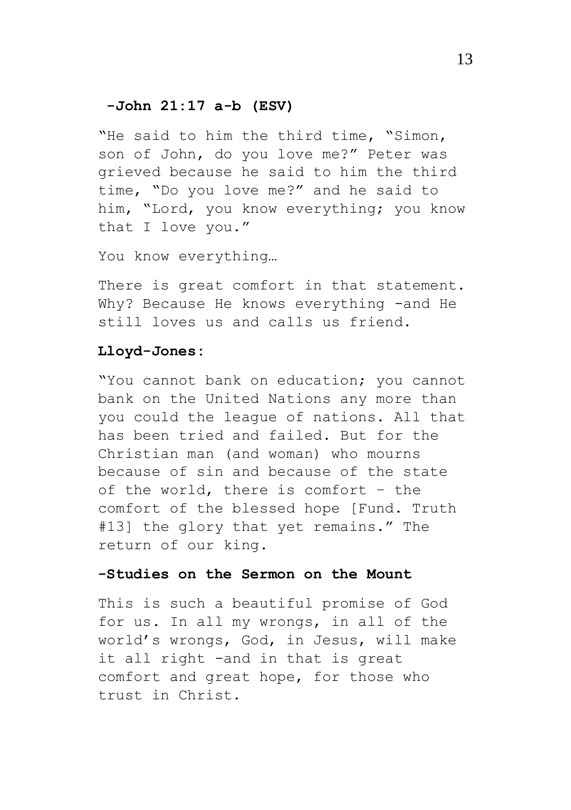#### **-John 21:17 a-b (ESV)**

"He said to him the third time, "Simon, son of John, do you love me?" Peter was grieved because he said to him the third time, "Do you love me?" and he said to him, "Lord, you know everything; you know that I love you."

You know everything…

There is great comfort in that statement. Why? Because He knows everything -and He still loves us and calls us friend.

#### **Lloyd-Jones:**

"You cannot bank on education; you cannot bank on the United Nations any more than you could the league of nations. All that has been tried and failed. But for the Christian man (and woman) who mourns because of sin and because of the state of the world, there is comfort – the comfort of the blessed hope [Fund. Truth #13] the glory that yet remains." The return of our king.

## **-Studies on the Sermon on the Mount**

This is such a beautiful promise of God for us. In all my wrongs, in all of the world's wrongs, God, in Jesus, will make it all right -and in that is great comfort and great hope, for those who trust in Christ.